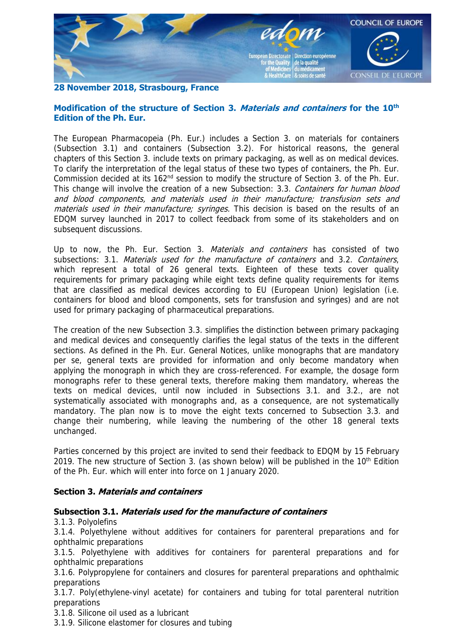

## **28 November 2018, Strasbourg, France**

## **Modification of the structure of Section 3. Materials and containers for the 10th Edition of the Ph. Eur.**

The European Pharmacopeia (Ph. Eur.) includes a Section 3. on materials for containers (Subsection 3.1) and containers (Subsection 3.2). For historical reasons, the general chapters of this Section 3. include texts on primary packaging, as well as on medical devices. To clarify the interpretation of the legal status of these two types of containers, the Ph. Eur. Commission decided at its 162<sup>nd</sup> session to modify the structure of Section 3. of the Ph. Eur. This change will involve the creation of a new Subsection: 3.3. Containers for human blood and blood components, and materials used in their manufacture; transfusion sets and materials used in their manufacture; syringes. This decision is based on the results of an EDQM survey launched in 2017 to collect feedback from some of its stakeholders and on subsequent discussions.

Up to now, the Ph. Eur. Section 3. *Materials and containers* has consisted of two subsections: 3.1. Materials used for the manufacture of containers and 3.2. Containers, which represent a total of 26 general texts. Eighteen of these texts cover quality requirements for primary packaging while eight texts define quality requirements for items that are classified as medical devices according to EU (European Union) legislation (i.e. containers for blood and blood components, sets for transfusion and syringes) and are not used for primary packaging of pharmaceutical preparations.

The creation of the new Subsection 3.3. simplifies the distinction between primary packaging and medical devices and consequently clarifies the legal status of the texts in the different sections. As defined in the Ph. Eur. General Notices, unlike monographs that are mandatory per se, general texts are provided for information and only become mandatory when applying the monograph in which they are cross-referenced. For example, the dosage form monographs refer to these general texts, therefore making them mandatory, whereas the texts on medical devices, until now included in Subsections 3.1. and 3.2., are not systematically associated with monographs and, as a consequence, are not systematically mandatory. The plan now is to move the eight texts concerned to Subsection 3.3. and change their numbering, while leaving the numbering of the other 18 general texts unchanged.

Parties concerned by this project are invited to send their feedback to EDQM by 15 February 2019. The new structure of Section 3. (as shown below) will be published in the  $10<sup>th</sup>$  Edition of the Ph. Eur. which will enter into force on 1 January 2020.

## **Section 3. Materials and containers**

## **Subsection 3.1. Materials used for the manufacture of containers**

3.1.3. Polyolefins

3.1.4. Polyethylene without additives for containers for parenteral preparations and for ophthalmic preparations

3.1.5. Polyethylene with additives for containers for parenteral preparations and for ophthalmic preparations

3.1.6. Polypropylene for containers and closures for parenteral preparations and ophthalmic preparations

3.1.7. Poly(ethylene-vinyl acetate) for containers and tubing for total parenteral nutrition preparations

3.1.8. Silicone oil used as a lubricant

3.1.9. Silicone elastomer for closures and tubing